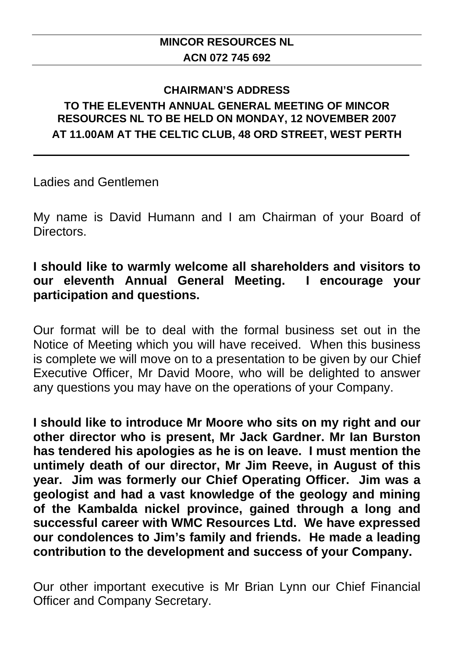### **CHAIRMAN'S ADDRESS TO THE ELEVENTH ANNUAL GENERAL MEETING OF MINCOR RESOURCES NL TO BE HELD ON MONDAY, 12 NOVEMBER 2007 AT 11.00AM AT THE CELTIC CLUB, 48 ORD STREET, WEST PERTH**

Ladies and Gentlemen

My name is David Humann and I am Chairman of your Board of **Directors** 

## **I should like to warmly welcome all shareholders and visitors to our eleventh Annual General Meeting. I encourage your participation and questions.**

Our format will be to deal with the formal business set out in the Notice of Meeting which you will have received. When this business is complete we will move on to a presentation to be given by our Chief Executive Officer, Mr David Moore, who will be delighted to answer any questions you may have on the operations of your Company.

**I should like to introduce Mr Moore who sits on my right and our other director who is present, Mr Jack Gardner. Mr Ian Burston has tendered his apologies as he is on leave. I must mention the untimely death of our director, Mr Jim Reeve, in August of this year. Jim was formerly our Chief Operating Officer. Jim was a geologist and had a vast knowledge of the geology and mining of the Kambalda nickel province, gained through a long and successful career with WMC Resources Ltd. We have expressed our condolences to Jim's family and friends. He made a leading contribution to the development and success of your Company.** 

Our other important executive is Mr Brian Lynn our Chief Financial Officer and Company Secretary.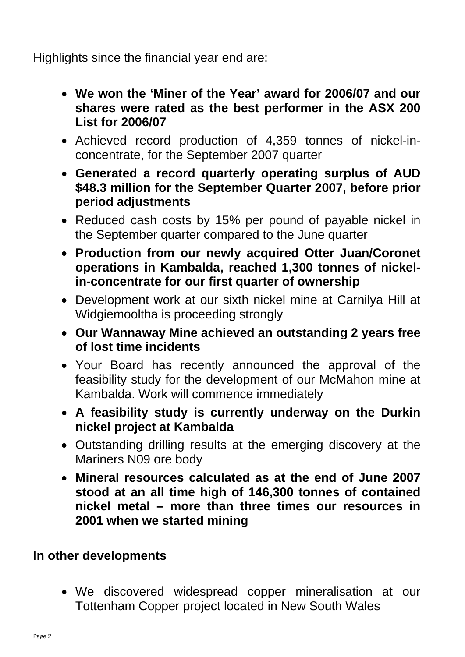Highlights since the financial year end are:

- **We won the 'Miner of the Year' award for 2006/07 and our shares were rated as the best performer in the ASX 200 List for 2006/07**
- Achieved record production of 4,359 tonnes of nickel-inconcentrate, for the September 2007 quarter
- **Generated a record quarterly operating surplus of AUD \$48.3 million for the September Quarter 2007, before prior period adjustments**
- Reduced cash costs by 15% per pound of payable nickel in the September quarter compared to the June quarter
- **Production from our newly acquired Otter Juan/Coronet operations in Kambalda, reached 1,300 tonnes of nickelin-concentrate for our first quarter of ownership**
- Development work at our sixth nickel mine at Carnilya Hill at Widgiemooltha is proceeding strongly
- **Our Wannaway Mine achieved an outstanding 2 years free of lost time incidents**
- Your Board has recently announced the approval of the feasibility study for the development of our McMahon mine at Kambalda. Work will commence immediately
- **A feasibility study is currently underway on the Durkin nickel project at Kambalda**
- Outstanding drilling results at the emerging discovery at the Mariners N09 ore body
- **Mineral resources calculated as at the end of June 2007 stood at an all time high of 146,300 tonnes of contained nickel metal – more than three times our resources in 2001 when we started mining**

# **In other developments**

• We discovered widespread copper mineralisation at our Tottenham Copper project located in New South Wales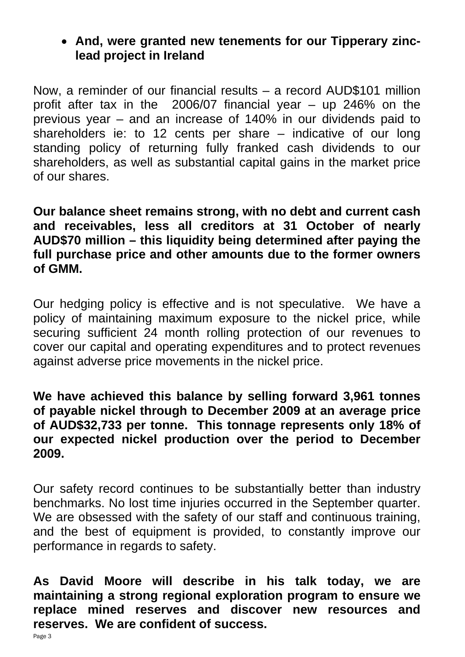## • **And, were granted new tenements for our Tipperary zinclead project in Ireland**

Now, a reminder of our financial results – a record AUD\$101 million profit after tax in the 2006/07 financial year – up 246% on the previous year – and an increase of 140% in our dividends paid to shareholders ie: to 12 cents per share – indicative of our long standing policy of returning fully franked cash dividends to our shareholders, as well as substantial capital gains in the market price of our shares.

**Our balance sheet remains strong, with no debt and current cash and receivables, less all creditors at 31 October of nearly AUD\$70 million – this liquidity being determined after paying the full purchase price and other amounts due to the former owners of GMM.** 

Our hedging policy is effective and is not speculative. We have a policy of maintaining maximum exposure to the nickel price, while securing sufficient 24 month rolling protection of our revenues to cover our capital and operating expenditures and to protect revenues against adverse price movements in the nickel price.

## **We have achieved this balance by selling forward 3,961 tonnes of payable nickel through to December 2009 at an average price of AUD\$32,733 per tonne. This tonnage represents only 18% of our expected nickel production over the period to December 2009.**

Our safety record continues to be substantially better than industry benchmarks. No lost time injuries occurred in the September quarter. We are obsessed with the safety of our staff and continuous training, and the best of equipment is provided, to constantly improve our performance in regards to safety.

**As David Moore will describe in his talk today, we are maintaining a strong regional exploration program to ensure we replace mined reserves and discover new resources and reserves. We are confident of success.**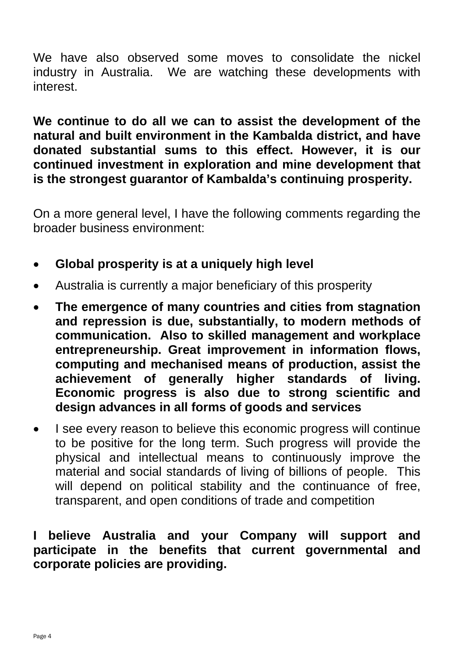We have also observed some moves to consolidate the nickel industry in Australia. We are watching these developments with interest.

**We continue to do all we can to assist the development of the natural and built environment in the Kambalda district, and have donated substantial sums to this effect. However, it is our continued investment in exploration and mine development that is the strongest guarantor of Kambalda's continuing prosperity.** 

On a more general level, I have the following comments regarding the broader business environment:

- **Global prosperity is at a uniquely high level**
- Australia is currently a major beneficiary of this prosperity
- **The emergence of many countries and cities from stagnation and repression is due, substantially, to modern methods of communication. Also to skilled management and workplace entrepreneurship. Great improvement in information flows, computing and mechanised means of production, assist the achievement of generally higher standards of living. Economic progress is also due to strong scientific and design advances in all forms of goods and services**
- I see every reason to believe this economic progress will continue to be positive for the long term. Such progress will provide the physical and intellectual means to continuously improve the material and social standards of living of billions of people. This will depend on political stability and the continuance of free, transparent, and open conditions of trade and competition

## **I believe Australia and your Company will support and participate in the benefits that current governmental and corporate policies are providing.**